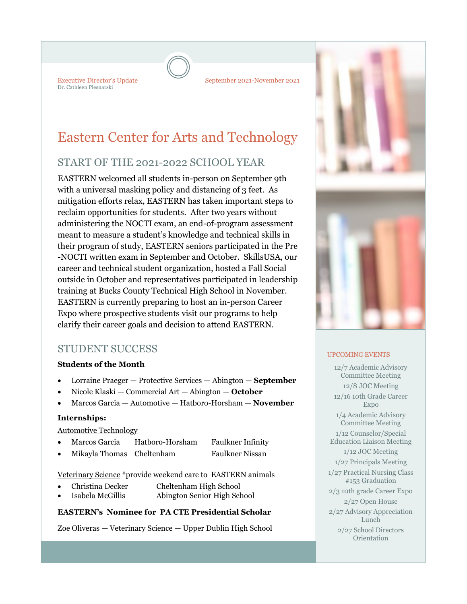Dr. Cathleen Plesnarski

Executive Director's Update September 2021-November 2021

# Eastern Center for Arts and Technology

# START OF THE 2021-2022 SCHOOL YEAR

EASTERN welcomed all students in-person on September 9th with a universal masking policy and distancing of 3 feet. As mitigation efforts relax, EASTERN has taken important steps to reclaim opportunities for students. After two years without administering the NOCTI exam, an end-of-program assessment meant to measure a student's knowledge and technical skills in their program of study, EASTERN seniors participated in the Pre -NOCTI written exam in September and October. SkillsUSA, our career and technical student organization, hosted a Fall Social outside in October and representatives participated in leadership training at Bucks County Technical High School in November. EASTERN is currently preparing to host an in-person Career Expo where prospective students visit our programs to help clarify their career goals and decision to attend EASTERN.

# STUDENT SUCCESS

#### **Students of the Month**

- Lorraine Praeger Protective Services Abington **September**
- Nicole Klaski Commercial Art Abington **October**
- Marcos Garcia Automotive Hatboro-Horsham **November**

#### **Internships:**

#### Automotive Technology

- Marcos Garcia Hatboro-Horsham Faulkner Infinity
- Mikayla Thomas Cheltenham Faulkner Nissan

Veterinary Science \*provide weekend care to EASTERN animals

- Christina Decker Cheltenham High School
- Isabela McGillis Abington Senior High School

#### **EASTERN's Nominee for PA CTE Presidential Scholar**

Zoe Oliveras — Veterinary Science — Upper Dublin High School



#### UPCOMING EVENTS

12/7 Academic Advisory Committee Meeting 12/8 JOC Meeting 12/16 10th Grade Career Expo 1/4 Academic Advisory Committee Meeting 1/12 Counselor/Special Education Liaison Meeting 1/12 JOC Meeting 1/27 Principals Meeting 1/27 Practical Nursing Class #153 Graduation 2/3 10th grade Career Expo 2/27 Open House 2/27 Advisory Appreciation Lunch 2/27 School Directors Orientation